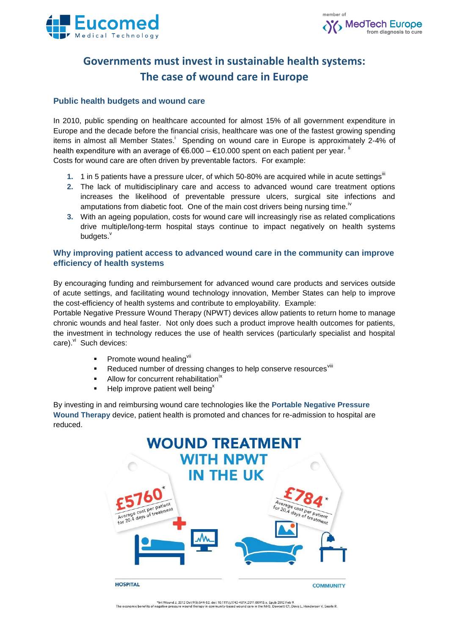



# **Governments must invest in sustainable health systems: The case of wound care in Europe**

#### **Public health budgets and wound care**

In 2010, public spending on healthcare accounted for almost 15% of all government expenditure in Europe and the decade before the financial crisis, healthcare was one of the fastest growing spending items in almost all Member States.<sup>i</sup> Spending on wound care in Europe is approximately 2-4% of health expenditure with an average of  $6.000 - 10.000$  spent on each patient per year. " Costs for wound care are often driven by preventable factors. For example:

- **1.** 1 in 5 patients have a pressure ulcer, of which 50-80% are acquired while in acute settings<sup>iii</sup>
- **2.** The lack of multidisciplinary care and access to advanced wound care treatment options increases the likelihood of preventable pressure ulcers, surgical site infections and amputations from diabetic foot. One of the main cost drivers being nursing time.<sup>iv</sup>
- **3.** With an ageing population, costs for wound care will increasingly rise as related complications drive multiple/long-term hospital stays continue to impact negatively on health systems budgets.<sup>v</sup>

### **Why improving patient access to advanced wound care in the community can improve efficiency of health systems**

By encouraging funding and reimbursement for advanced wound care products and services outside of acute settings, and facilitating wound technology innovation, Member States can help to improve the cost-efficiency of health systems and contribute to employability. Example:

Portable Negative Pressure Wound Therapy (NPWT) devices allow patients to return home to manage chronic wounds and heal faster. Not only does such a product improve health outcomes for patients, the investment in technology reduces the use of health services (particularly specialist and hospital care). Vi Such devices:

- Promote wound healing<sup>vii</sup>
- Reduced number of dressing changes to help conserve resources vill
- Allow for concurrent rehabilitation<sup>ix</sup>
- Help improve patient well being $x$

By investing in and reimbursing wound care technologies like the **Portable Negative Pressure Wound Therapy** device, patient health is promoted and chances for re-admission to hospital are reduced.



tht Wound J. 2012 Oct;9(5):544-52. doi: 10.1111/j.1742-481X.2011.00913.x. Epub 2012 Feb 9.<br>The economic benefits of negative pressure wound therapy in community-based wound care in the NHS. Dowsett C1, Davis L, Henderson V